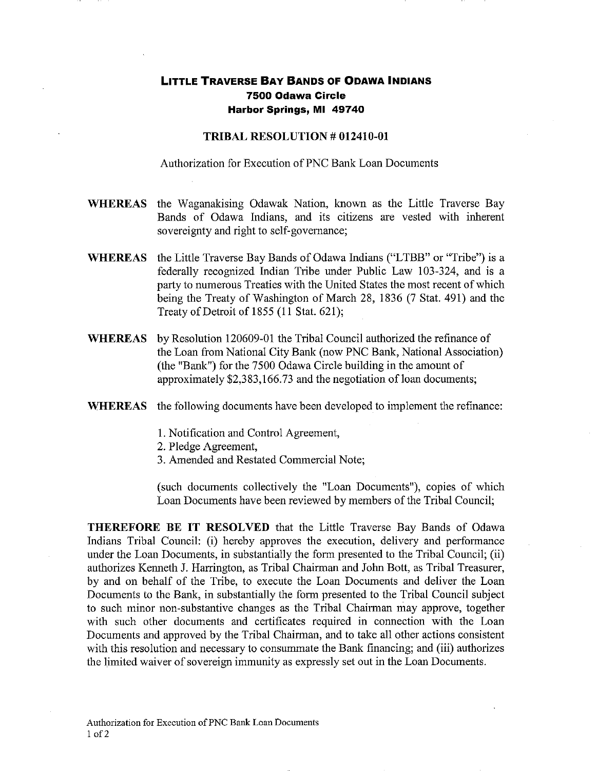## **LITTLE TRAVERSE BAY BANDS OF ODAWA INDIANS 7500 Odawa Circle Harbor Springs, MI 49740**

## TRIBAL RESOLUTION # 012410-01

Authorization for Execution of PNC Bank Loan Documents

- WHEREAS the Waganakising Odawak Nation, known as the Little Traverse Bay Bands of Odawa Indians, and its citizens are vested with inherent sovereignty and right to self-governance;
- WHEREAS the Little Traverse Bay Bands of Odawa Indians ("LTBB" or "Tribe") is a federally recognized Indian Tribe under Public Law 103-324, and is a party to numerous Treaties with the United States the most recent of which being the Treaty of Washington of March 28, 1836 (7 Stat. 491) and the Treaty of Detroit of 1855 (11 Stat. 621);
- WHEREAS by Resolution 120609-01 the Tribal Council authorized the refinance of the Loan from National City Bank (now PNC Bank, National Association) (the "Bank") for the 7500 Odawa Circle building in the amount of approximately \$2,383,166.73 and the negotiation of loan documents;
- WHEREAS the following documents have been developed to implement the refinance:
	- 1. Notification and Control Agreement,
	- 2. Pledge Agreement,
	- 3. Amended and Restated Commercial Note;

(such documents collectively the "Loan Documents"), copies of which Loan Documents have been reviewed by members of the Tribal Council;

THEREFORE BE IT RESOLVED that the Little Traverse Bay Bands of Odawa Indians Tribal Council: (i) hereby approves the execution, delivery and performance under the Loan Documents, in substantially the form presented to the Tribal Council; (ii) authorizes Kenneth J. Harrington, as Tribal Chairman and John Bott, as Tribal Treasurer, by and on behalf of the Tribe, to execute the Loan Documents and deliver the Loan Documents to the Bank, in substantially the form presented to the Tribal Council subject to such minor non-substantive changes as the Tribal Chairman may approve, together with such other documents and certificates required in connection with the Loan Documents and approved by the Tribal Chairman, and to take all other actions consistent with this resolution and necessary to consummate the Bank financing; and (iii) authorizes the limited waiver of sovereign immunity as expressly set out in the Loan Documents.